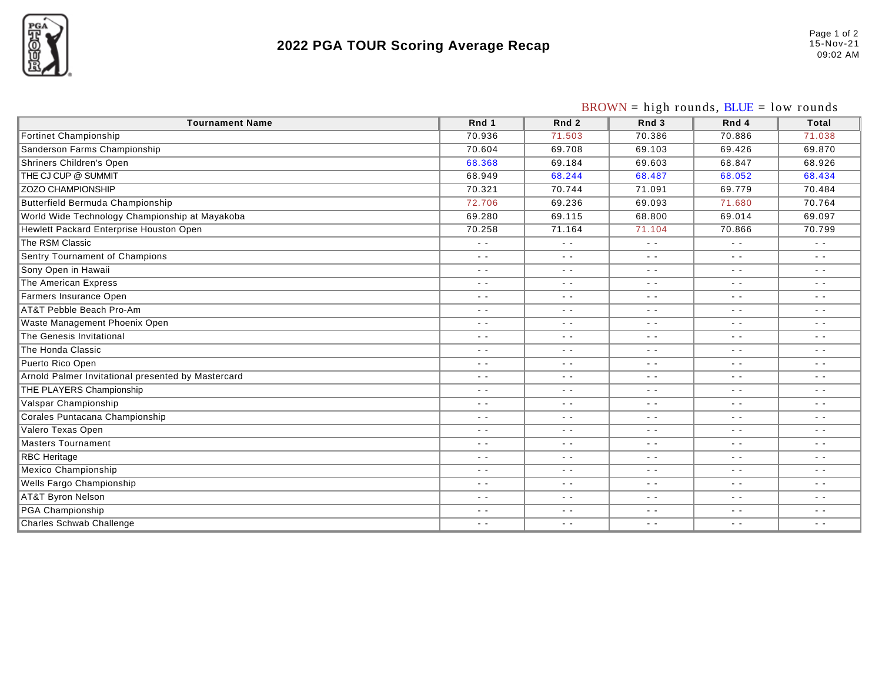

## **2022 PGA TOUR Scoring Average Recap**

|                                                    | $BROWN = high rounds, BLUE = low rounds$ |                  |               |               |               |
|----------------------------------------------------|------------------------------------------|------------------|---------------|---------------|---------------|
| <b>Tournament Name</b>                             | Rnd 1                                    | Rnd <sub>2</sub> | Rnd 3         | Rnd 4         | Total         |
| <b>Fortinet Championship</b>                       | 70.936                                   | 71.503           | 70.386        | 70.886        | 71.038        |
| Sanderson Farms Championship                       | 70.604                                   | 69.708           | 69.103        | 69.426        | 69.870        |
| <b>Shriners Children's Open</b>                    | 68.368                                   | 69.184           | 69.603        | 68.847        | 68.926        |
| THE CJ CUP @ SUMMIT                                | 68.949                                   | 68.244           | 68.487        | 68.052        | 68.434        |
| <b>ZOZO CHAMPIONSHIP</b>                           | 70.321                                   | 70.744           | 71.091        | 69.779        | 70.484        |
| <b>Butterfield Bermuda Championship</b>            | 72.706                                   | 69.236           | 69.093        | 71.680        | 70.764        |
| World Wide Technology Championship at Mayakoba     | 69.280                                   | 69.115           | 68.800        | 69.014        | 69.097        |
| Hewlett Packard Enterprise Houston Open            | 70.258                                   | 71.164           | 71.104        | 70.866        | 70.799        |
| The RSM Classic                                    | $\sim$ $\sim$                            | $\sim$ $\sim$    | $\sim$ $\sim$ |               | $\sim$ $\sim$ |
| Sentry Tournament of Champions                     | $\sim$ $\sim$                            | $\sim$ $\sim$    | $\sim$ $\sim$ | $\sim$ $\sim$ | $\sim$ $\sim$ |
| Sony Open in Hawaii                                | $\sim$ $\sim$                            | $\sim$ $\sim$    | $\sim$ $-$    | $\sim$ $\sim$ | $\sim$ $\sim$ |
| The American Express                               | $\sim$ $\sim$                            | $\sim$ $\sim$    | $\sim$ $\sim$ | $\sim$ $\sim$ | $\sim$ $\sim$ |
| Farmers Insurance Open                             | $\sim$ $\sim$                            | $\sim$ $\sim$    | $\sim$ $-$    | $\sim$ $\sim$ | $\sim$ $\sim$ |
| AT&T Pebble Beach Pro-Am                           | $\sim$ $\sim$                            | $\sim$ $\sim$    | $\sim$ $\sim$ | $\sim$ $-$    | $\sim$ $\sim$ |
| Waste Management Phoenix Open                      | $\sim$ $\sim$                            | $\sim$ $\sim$    | $\sim$ $\sim$ | $\sim$ $\sim$ | $\sim$ $\sim$ |
| The Genesis Invitational                           | $\sim$ $\sim$                            | $\sim$ $\sim$    | $ -$          | - -           | $\sim$ $\sim$ |
| The Honda Classic                                  | $\sim$ $-$                               | $\sim$ $-$       | $\sim$ $-$    | $\sim$ $\sim$ | $\sim$ $-$    |
| Puerto Rico Open                                   | $\sim$ $\sim$                            | $\sim$ $\sim$    | $\sim$ $\sim$ | $\sim$ $-$    | $\sim$ $\sim$ |
| Arnold Palmer Invitational presented by Mastercard | $\sim$ $\sim$                            | $\sim$ $\sim$    | $\sim$ $\sim$ | $\sim$ $\sim$ | $\sim$ $\sim$ |
| THE PLAYERS Championship                           | $\sim$ $\sim$                            | $\sim$ $\sim$    | $\sim$ $\sim$ | $\sim$ $\sim$ | $\sim$ $\sim$ |
| Valspar Championship                               | $\sim$ $\sim$                            | $\sim$ $\sim$    | $\sim$ $-$    | $\sim$ $\sim$ | $\sim$ $\sim$ |
| Corales Puntacana Championship                     | $\sim$ $-$                               | $\sim$ $\sim$    | $ -$          |               | $\sim$ $\sim$ |
| Valero Texas Open                                  | $\sim$ $-$                               | $\sim$ $\sim$    | $\sim$ $\sim$ | $\sim$ $\sim$ | $\sim$ $-$    |
| <b>Masters Tournament</b>                          | $\sim$ $\sim$                            | $\sim$ $\sim$    | $\sim$ $-$    | $\sim$ $\sim$ | $\sim$ $\sim$ |
| <b>RBC</b> Heritage                                | $\sim$ $\sim$                            | $\sim$ $\sim$    | $\sim$ $\sim$ | $\sim$ $\sim$ | $\sim$ $\sim$ |
| Mexico Championship                                | $\sim$ $-$                               | $\sim$ $\sim$    | $\sim$ $\sim$ | $\sim$ $\sim$ | $\sim$ $\sim$ |
| Wells Fargo Championship                           | $\sim$ $\sim$                            | $\sim$ $\sim$    | $\sim$ $\sim$ | $\sim$ $\sim$ | $\sim$ $\sim$ |
| <b>AT&amp;T Byron Nelson</b>                       | $\sim$ $\sim$                            | $\sim$ $\sim$    | $\sim$ $\sim$ | $\sim$ $\sim$ | $\sim$ $\sim$ |
| PGA Championship                                   | $\sim$ $\sim$                            | $\sim$ $\sim$    | $\sim$ $\sim$ | $\sim$ $\sim$ | $\sim$ $\sim$ |
| Charles Schwab Challenge                           | $\sim$ $\sim$                            | $\sim$ $\sim$    | $\sim$ $\sim$ | $\sim$ $\sim$ | $\sim$ $\sim$ |